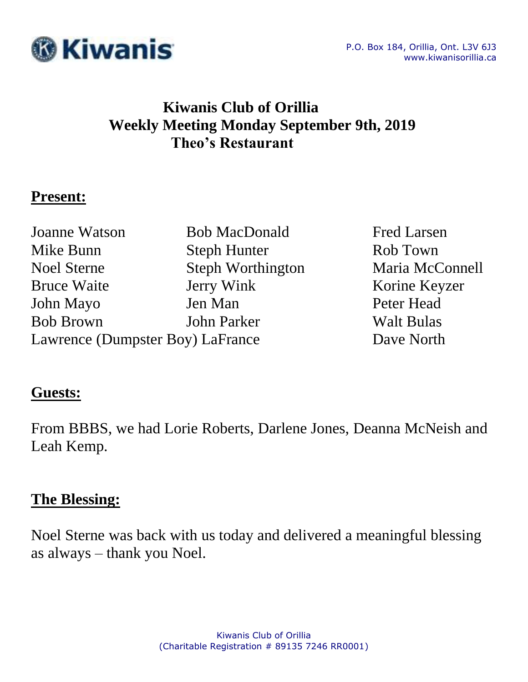

# **Kiwanis Club of Orillia Weekly Meeting Monday September 9th, 2019 Theo's Restaurant**

### **Present:**

Joanne Watson Bob MacDonald Fred Larsen Mike Bunn Steph Hunter Rob Town Noel Sterne Steph Worthington Maria McConnell Bruce Waite **IVERTY Wink** Korine Keyzer John Mayo Jen Man Peter Head Bob Brown John Parker Walt Bulas Lawrence (Dumpster Boy) LaFrance Dave North

#### **Guests:**

From BBBS, we had Lorie Roberts, Darlene Jones, Deanna McNeish and Leah Kemp.

## **The Blessing:**

Noel Sterne was back with us today and delivered a meaningful blessing as always – thank you Noel.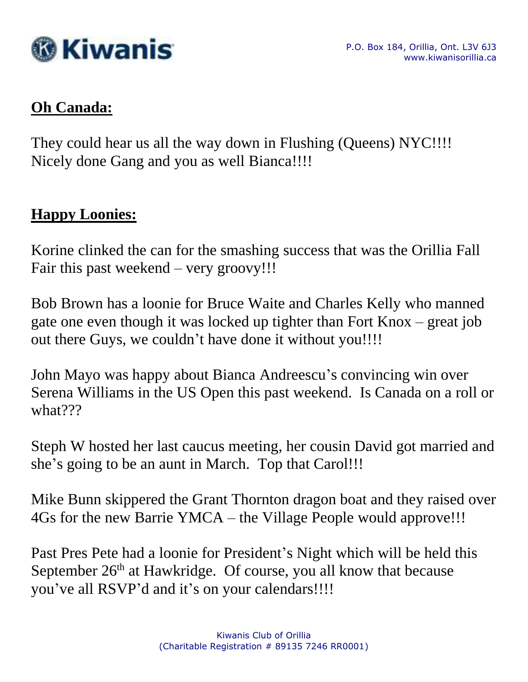

### **Oh Canada:**

They could hear us all the way down in Flushing (Queens) NYC!!!! Nicely done Gang and you as well Bianca!!!!

## **Happy Loonies:**

Korine clinked the can for the smashing success that was the Orillia Fall Fair this past weekend – very groovy!!!

Bob Brown has a loonie for Bruce Waite and Charles Kelly who manned gate one even though it was locked up tighter than Fort Knox – great job out there Guys, we couldn't have done it without you!!!!

John Mayo was happy about Bianca Andreescu's convincing win over Serena Williams in the US Open this past weekend. Is Canada on a roll or what???

Steph W hosted her last caucus meeting, her cousin David got married and she's going to be an aunt in March. Top that Carol!!!

Mike Bunn skippered the Grant Thornton dragon boat and they raised over 4Gs for the new Barrie YMCA – the Village People would approve!!!

Past Pres Pete had a loonie for President's Night which will be held this September  $26<sup>th</sup>$  at Hawkridge. Of course, you all know that because you've all RSVP'd and it's on your calendars!!!!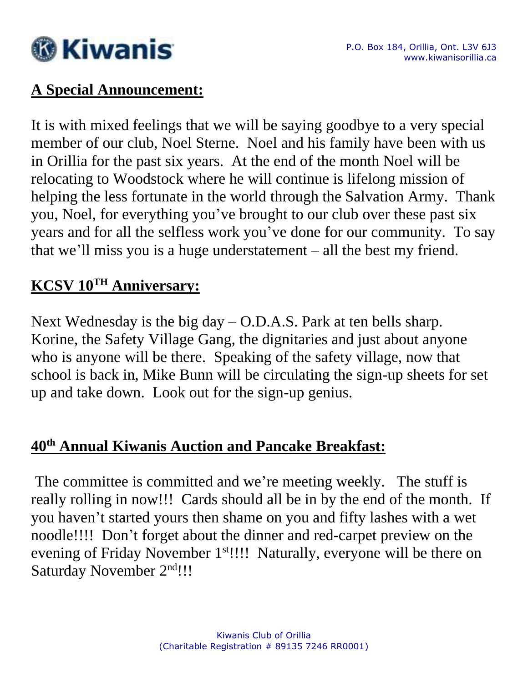

#### **A Special Announcement:**

It is with mixed feelings that we will be saying goodbye to a very special member of our club, Noel Sterne. Noel and his family have been with us in Orillia for the past six years. At the end of the month Noel will be relocating to Woodstock where he will continue is lifelong mission of helping the less fortunate in the world through the Salvation Army. Thank you, Noel, for everything you've brought to our club over these past six years and for all the selfless work you've done for our community. To say that we'll miss you is a huge understatement – all the best my friend.

## **KCSV 10TH Anniversary:**

Next Wednesday is the big day – O.D.A.S. Park at ten bells sharp. Korine, the Safety Village Gang, the dignitaries and just about anyone who is anyone will be there. Speaking of the safety village, now that school is back in, Mike Bunn will be circulating the sign-up sheets for set up and take down. Look out for the sign-up genius.

# **40th Annual Kiwanis Auction and Pancake Breakfast:**

The committee is committed and we're meeting weekly. The stuff is really rolling in now!!! Cards should all be in by the end of the month. If you haven't started yours then shame on you and fifty lashes with a wet noodle!!!! Don't forget about the dinner and red-carpet preview on the evening of Friday November 1<sup>st</sup>!!!! Naturally, everyone will be there on Saturday November 2<sup>nd</sup>!!!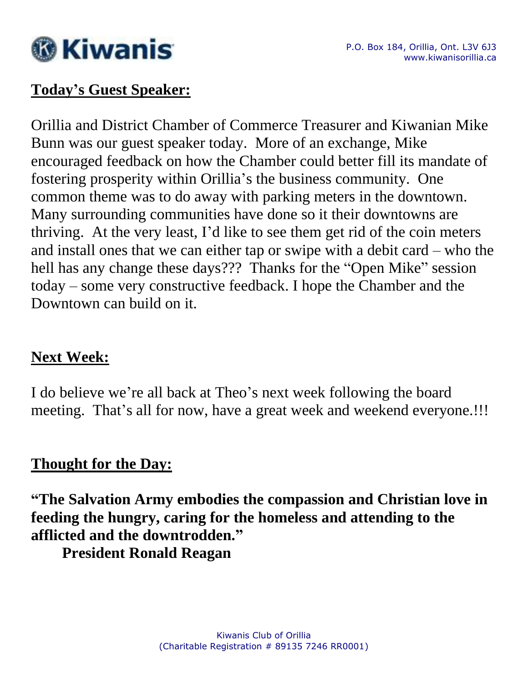

## **Today's Guest Speaker:**

Orillia and District Chamber of Commerce Treasurer and Kiwanian Mike Bunn was our guest speaker today. More of an exchange, Mike encouraged feedback on how the Chamber could better fill its mandate of fostering prosperity within Orillia's the business community. One common theme was to do away with parking meters in the downtown. Many surrounding communities have done so it their downtowns are thriving. At the very least, I'd like to see them get rid of the coin meters and install ones that we can either tap or swipe with a debit card – who the hell has any change these days??? Thanks for the "Open Mike" session today – some very constructive feedback. I hope the Chamber and the Downtown can build on it.

## **Next Week:**

I do believe we're all back at Theo's next week following the board meeting. That's all for now, have a great week and weekend everyone.!!!

## **Thought for the Day:**

**"The Salvation Army embodies the compassion and Christian love in feeding the hungry, caring for the homeless and attending to the afflicted and the downtrodden."**

**President Ronald Reagan**